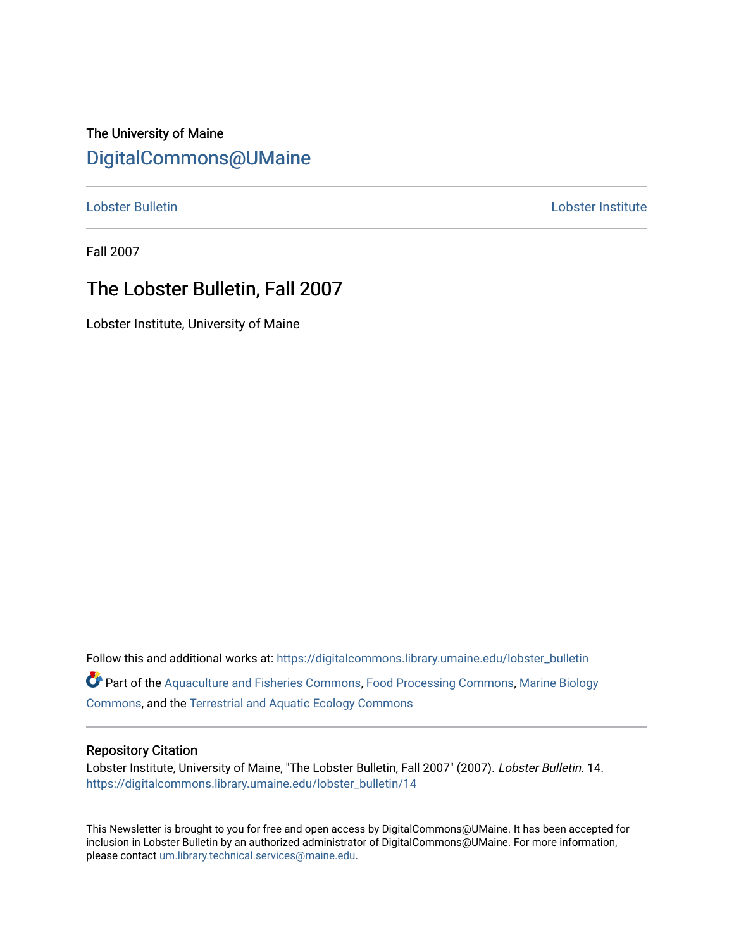The University of Maine [DigitalCommons@UMaine](https://digitalcommons.library.umaine.edu/)

[Lobster Bulletin](https://digitalcommons.library.umaine.edu/lobster_bulletin) [Lobster Institute](https://digitalcommons.library.umaine.edu/lobster) 

Fall 2007

## The Lobster Bulletin, Fall 2007

Lobster Institute, University of Maine

Follow this and additional works at: [https://digitalcommons.library.umaine.edu/lobster\\_bulletin](https://digitalcommons.library.umaine.edu/lobster_bulletin?utm_source=digitalcommons.library.umaine.edu%2Flobster_bulletin%2F14&utm_medium=PDF&utm_campaign=PDFCoverPages) Part of the [Aquaculture and Fisheries Commons](http://network.bepress.com/hgg/discipline/78?utm_source=digitalcommons.library.umaine.edu%2Flobster_bulletin%2F14&utm_medium=PDF&utm_campaign=PDFCoverPages), [Food Processing Commons,](http://network.bepress.com/hgg/discipline/85?utm_source=digitalcommons.library.umaine.edu%2Flobster_bulletin%2F14&utm_medium=PDF&utm_campaign=PDFCoverPages) [Marine Biology](http://network.bepress.com/hgg/discipline/1126?utm_source=digitalcommons.library.umaine.edu%2Flobster_bulletin%2F14&utm_medium=PDF&utm_campaign=PDFCoverPages) [Commons](http://network.bepress.com/hgg/discipline/1126?utm_source=digitalcommons.library.umaine.edu%2Flobster_bulletin%2F14&utm_medium=PDF&utm_campaign=PDFCoverPages), and the [Terrestrial and Aquatic Ecology Commons](http://network.bepress.com/hgg/discipline/20?utm_source=digitalcommons.library.umaine.edu%2Flobster_bulletin%2F14&utm_medium=PDF&utm_campaign=PDFCoverPages) 

#### Repository Citation

Lobster Institute, University of Maine, "The Lobster Bulletin, Fall 2007" (2007). Lobster Bulletin. 14. [https://digitalcommons.library.umaine.edu/lobster\\_bulletin/14](https://digitalcommons.library.umaine.edu/lobster_bulletin/14?utm_source=digitalcommons.library.umaine.edu%2Flobster_bulletin%2F14&utm_medium=PDF&utm_campaign=PDFCoverPages) 

This Newsletter is brought to you for free and open access by DigitalCommons@UMaine. It has been accepted for inclusion in Lobster Bulletin by an authorized administrator of DigitalCommons@UMaine. For more information, please contact [um.library.technical.services@maine.edu.](mailto:um.library.technical.services@maine.edu)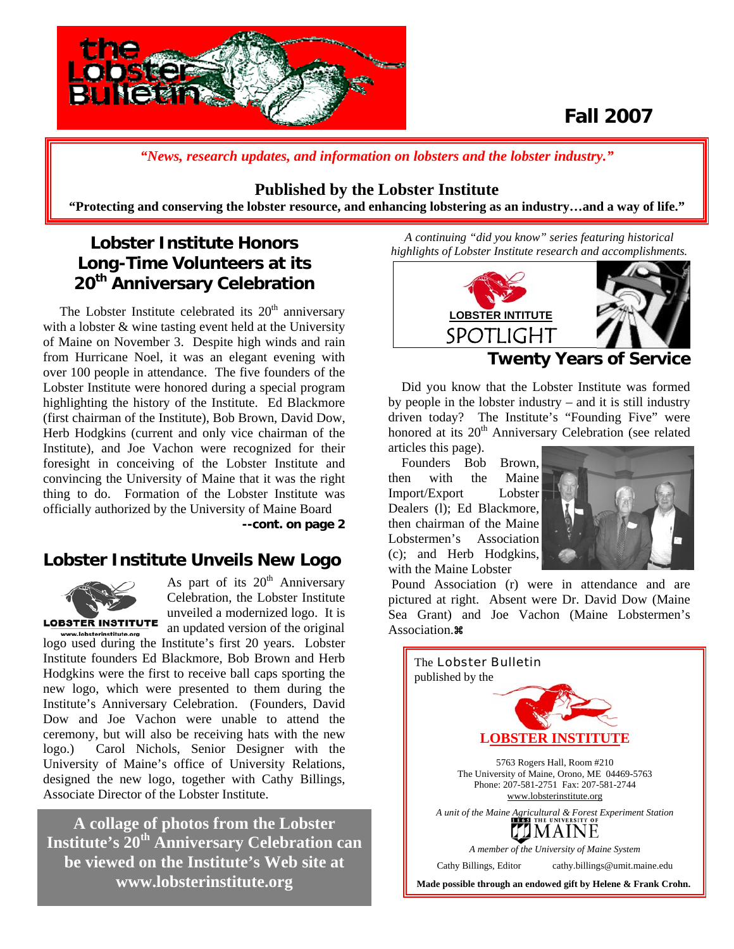

## **Fall 2007**

*"News, research updates, and information on lobsters and the lobster industry."*

#### **Published by the Lobster Institute**

**"Protecting and conserving the lobster resource, and enhancing lobstering as an industry…and a way of life."** 

## **Lobster Institute Honors Long-Time Volunteers at its 20th Anniversary Celebration**

The Lobster Institute celebrated its  $20<sup>th</sup>$  anniversary with a lobster & wine tasting event held at the University of Maine on November 3. Despite high winds and rain from Hurricane Noel, it was an elegant evening with over 100 people in attendance. The five founders of the Lobster Institute were honored during a special program highlighting the history of the Institute. Ed Blackmore (first chairman of the Institute), Bob Brown, David Dow, Herb Hodgkins (current and only vice chairman of the Institute), and Joe Vachon were recognized for their foresight in conceiving of the Lobster Institute and convincing the University of Maine that it was the right thing to do. Formation of the Lobster Institute was officially authorized by the University of Maine Board

**--cont. on page 2** 

### **Lobster Institute Unveils New Logo**



As part of its  $20<sup>th</sup>$  Anniversary Celebration, the Lobster Institute unveiled a modernized logo. It is an updated version of the original

vw.lobsterinstitute.org logo used during the Institute's first 20 years. Lobster Institute founders Ed Blackmore, Bob Brown and Herb Hodgkins were the first to receive ball caps sporting the new logo, which were presented to them during the Institute's Anniversary Celebration. (Founders, David Dow and Joe Vachon were unable to attend the ceremony, but will also be receiving hats with the new logo.) Carol Nichols, Senior Designer with the University of Maine's office of University Relations, designed the new logo, together with Cathy Billings, Associate Director of the Lobster Institute.

**A collage of photos from the Lobster Institute's 20th Anniversary Celebration can be viewed on the Institute's Web site at www.lobsterinstitute.org** 

*A continuing "did you know" series featuring historical highlights of Lobster Institute research and accomplishments.* 



#### **Twenty Years of Service**

 Did you know that the Lobster Institute was formed by people in the lobster industry – and it is still industry driven today? The Institute's "Founding Five" were honored at its 20<sup>th</sup> Anniversary Celebration (see related articles this page).

 Founders Bob Brown, then with the Maine Import/Export Lobster Dealers (l); Ed Blackmore, then chairman of the Maine Lobstermen's Association (c); and Herb Hodgkins, with the Maine Lobster



 Pound Association (r) were in attendance and are pictured at right. Absent were Dr. David Dow (Maine Sea Grant) and Joe Vachon (Maine Lobstermen's Association.<sup>38</sup>

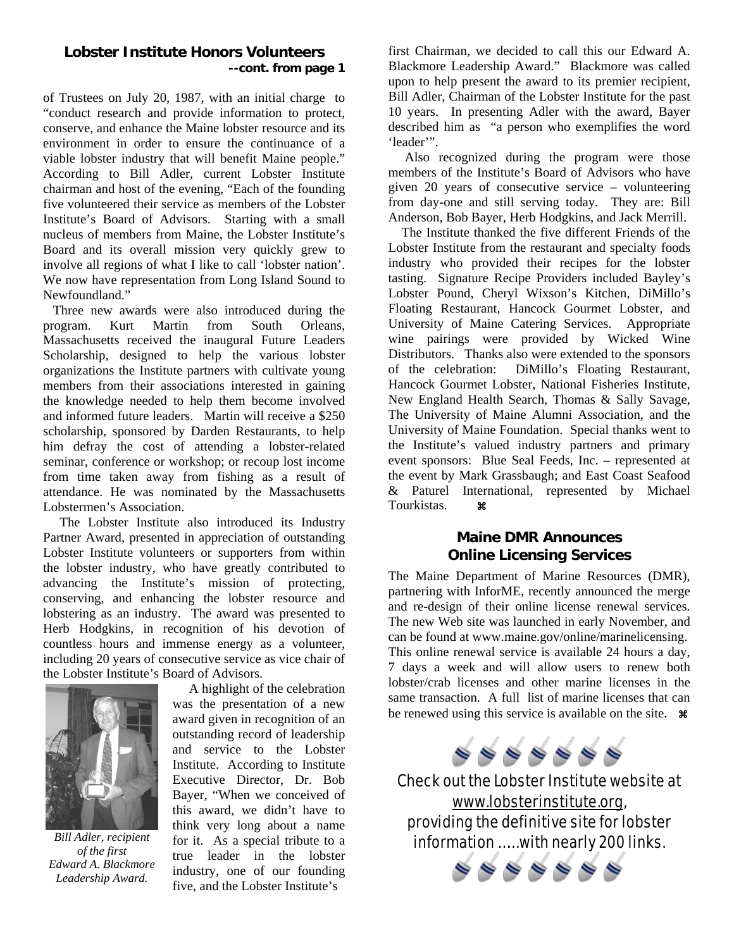#### **Lobster Institute Honors Volunteers --cont. from page 1**

of Trustees on July 20, 1987, with an initial charge to "conduct research and provide information to protect, conserve, and enhance the Maine lobster resource and its environment in order to ensure the continuance of a viable lobster industry that will benefit Maine people." According to Bill Adler, current Lobster Institute chairman and host of the evening, "Each of the founding five volunteered their service as members of the Lobster Institute's Board of Advisors. Starting with a small nucleus of members from Maine, the Lobster Institute's Board and its overall mission very quickly grew to involve all regions of what I like to call 'lobster nation'. We now have representation from Long Island Sound to Newfoundland."

 Three new awards were also introduced during the program. Kurt Martin from South Orleans, Massachusetts received the inaugural Future Leaders Scholarship, designed to help the various lobster organizations the Institute partners with cultivate young members from their associations interested in gaining the knowledge needed to help them become involved and informed future leaders. Martin will receive a \$250 scholarship, sponsored by Darden Restaurants, to help him defray the cost of attending a lobster-related seminar, conference or workshop; or recoup lost income from time taken away from fishing as a result of attendance. He was nominated by the Massachusetts Lobstermen's Association.

 The Lobster Institute also introduced its Industry Partner Award, presented in appreciation of outstanding Lobster Institute volunteers or supporters from within the lobster industry, who have greatly contributed to advancing the Institute's mission of protecting, conserving, and enhancing the lobster resource and lobstering as an industry. The award was presented to Herb Hodgkins, in recognition of his devotion of countless hours and immense energy as a volunteer, including 20 years of consecutive service as vice chair of the Lobster Institute's Board of Advisors.



*Bill Adler, recipient of the first Edward A. Blackmore Leadership Award.* 

 A highlight of the celebration was the presentation of a new award given in recognition of an outstanding record of leadership and service to the Lobster Institute. According to Institute Executive Director, Dr. Bob Bayer, "When we conceived of this award, we didn't have to think very long about a name for it. As a special tribute to a true leader in the lobster industry, one of our founding five, and the Lobster Institute's

first Chairman, we decided to call this our Edward A. Blackmore Leadership Award." Blackmore was called upon to help present the award to its premier recipient, Bill Adler, Chairman of the Lobster Institute for the past 10 years. In presenting Adler with the award, Bayer described him as "a person who exemplifies the word 'leader'".

 Also recognized during the program were those members of the Institute's Board of Advisors who have given 20 years of consecutive service – volunteering from day-one and still serving today. They are: Bill Anderson, Bob Bayer, Herb Hodgkins, and Jack Merrill.

 The Institute thanked the five different Friends of the Lobster Institute from the restaurant and specialty foods industry who provided their recipes for the lobster tasting. Signature Recipe Providers included Bayley's Lobster Pound, Cheryl Wixson's Kitchen, DiMillo's Floating Restaurant, Hancock Gourmet Lobster, and University of Maine Catering Services. Appropriate wine pairings were provided by Wicked Wine Distributors. Thanks also were extended to the sponsors of the celebration: DiMillo's Floating Restaurant, Hancock Gourmet Lobster, National Fisheries Institute, New England Health Search, Thomas & Sally Savage, The University of Maine Alumni Association, and the University of Maine Foundation. Special thanks went to the Institute's valued industry partners and primary event sponsors: Blue Seal Feeds, Inc. – represented at the event by Mark Grassbaugh; and East Coast Seafood & Paturel International, represented by Michael Tourkistas. **36** 

#### **Maine DMR Announces Online Licensing Services**

The Maine Department of Marine Resources (DMR), partnering with InforME, recently announced the merge and re-design of their online license renewal services. The new Web site was launched in early November, and can be found at www.maine.gov/online/marinelicensing. This online renewal service is available 24 hours a day, 7 days a week and will allow users to renew both lobster/crab licenses and other marine licenses in the same transaction. A full list of marine licenses that can be renewed using this service is available on the site.  $\mathcal{R}$ 



Check out the Lobster Institute website at [www.lobsterinstitute.org](http://www.lobsterinstitute.org/), providing the definitive site for lobster information …… with nearly 200 links.

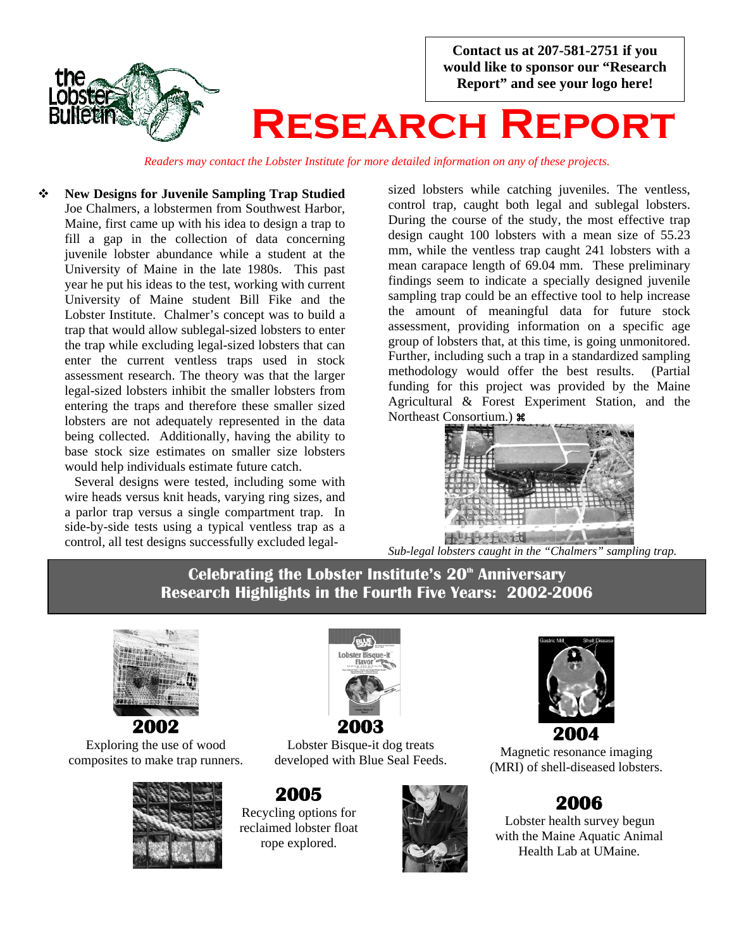

*Readers may contact the Lobster Institute for more detailed information on any of these projects.*

 **New Designs for Juvenile Sampling Trap Studied**  Joe Chalmers, a lobstermen from Southwest Harbor, Maine, first came up with his idea to design a trap to fill a gap in the collection of data concerning juvenile lobster abundance while a student at the University of Maine in the late 1980s. This past year he put his ideas to the test, working with current University of Maine student Bill Fike and the Lobster Institute. Chalmer's concept was to build a trap that would allow sublegal-sized lobsters to enter the trap while excluding legal-sized lobsters that can enter the current ventless traps used in stock assessment research. The theory was that the larger legal-sized lobsters inhibit the smaller lobsters from entering the traps and therefore these smaller sized lobsters are not adequately represented in the data being collected. Additionally, having the ability to base stock size estimates on smaller size lobsters would help individuals estimate future catch.

Several designs were tested, including some with wire heads versus knit heads, varying ring sizes, and a parlor trap versus a single compartment trap. In side-by-side tests using a typical ventless trap as a control, all test designs successfully excluded legalsized lobsters while catching juveniles. The ventless, control trap, caught both legal and sublegal lobsters. During the course of the study, the most effective trap design caught 100 lobsters with a mean size of 55.23 mm, while the ventless trap caught 241 lobsters with a mean carapace length of 69.04 mm. These preliminary findings seem to indicate a specially designed juvenile sampling trap could be an effective tool to help increase the amount of meaningful data for future stock assessment, providing information on a specific age group of lobsters that, at this time, is going unmonitored. Further, including such a trap in a standardized sampling methodology would offer the best results. (Partial funding for this project was provided by the Maine Agricultural & Forest Experiment Station, and the Northeast Consortium.)  $\mathcal{H}$ 



*Sub-legal lobsters caught in the "Chalmers" sampling trap.* 

Celebrating the Lobster Institute's 20<sup>th</sup> Anniversary **Research Highlights in the Fourth Five Years: 2002-2006**



Exploring the use of wood composites to make trap runners.





Lobster Bisque-it dog treats developed with Blue Seal Feeds.

**2005** Recycling options for reclaimed lobster float rope explored.





Magnetic resonance imaging (MRI) of shell-diseased lobsters.

### **2006**

 Lobster health survey begun with the Maine Aquatic Animal Health Lab at UMaine.